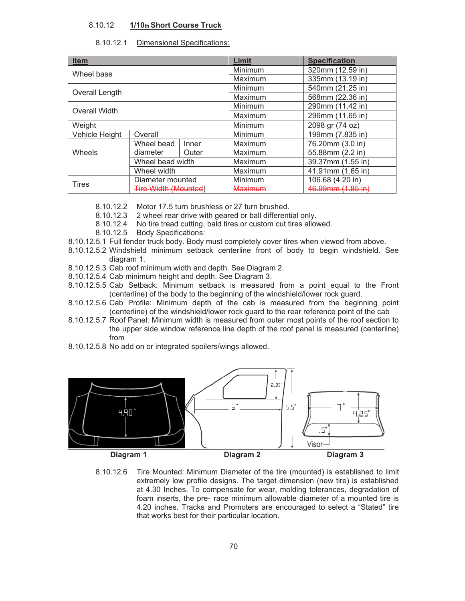## 8.10.12 **1/10th Short Course Truck**

## 8.10.12.1 Dimensional Specifications:

| <b>Item</b>    |                             |       | Limit          | <b>Specification</b>         |
|----------------|-----------------------------|-------|----------------|------------------------------|
| Wheel base     |                             |       | Minimum        | 320mm (12.59 in)             |
|                |                             |       | Maximum        | 335mm (13.19 in)             |
| Overall Length |                             |       | Minimum        | 540mm (21.25 in)             |
|                |                             |       | Maximum        | 568mm (22.36 in)             |
| Overall Width  |                             |       | Minimum        | 290mm (11.42 in)             |
|                |                             |       | Maximum        | 296mm (11.65 in)             |
| Weight         |                             |       | Minimum        | 2098 gr (74 oz)              |
| Vehicle Height | Overall                     |       | Minimum        | 199mm (7.835 in)             |
| Wheels         | Wheel bead                  | Inner | Maximum        | 76.20mm (3.0 in)             |
|                | diameter                    | Outer | Maximum        | 55.88mm (2.2 in)             |
|                | Wheel bead width            |       | Maximum        | 39.37mm (1.55 in)            |
|                | Wheel width                 |       | Maximum        | 41.91mm (1.65 in)            |
| <b>Tires</b>   | Diameter mounted            |       | Minimum        | 106.68 (4.20 in)             |
|                | <b>Tire Width (Mounted)</b> |       | <b>Maximum</b> | <del>46.99mm (1.85 in)</del> |

8.10.12.2 Motor 17.5 turn brushless or 27 turn brushed.

- 8.10.12.3 2 wheel rear drive with geared or ball differential only.
- 8.10.12.4 No tire tread cutting, bald tires or custom cut tires allowed.
- 8.10.12.5 Body Specifications:
- 8.10.12.5.1 Full fender truck body. Body must completely cover tires when viewed from above.
- 8.10.12.5.2 Windshield minimum setback centerline front of body to begin windshield. See diagram 1.
- 8.10.12.5.3 Cab roof minimum width and depth. See Diagram 2.
- 8.10.12.5.4 Cab minimum height and depth. See Diagram 3.
- 8.10.12.5.5 Cab Setback: Minimum setback is measured from a point equal to the Front (centerline) of the body to the beginning of the windshield/lower rock guard.
- 8.10.12.5.6 Cab Profile: Minimum depth of the cab is measured from the beginning point (centerline) of the windshield/lower rock guard to the rear reference point of the cab
- 8.10.12.5.7 Roof Panel: Minimum width is measured from outer most points of the roof section to the upper side window reference line depth of the roof panel is measured (centerline) from
- 8.10.12.5.8 No add on or integrated spoilers/wings allowed.



8.10.12.6 Tire Mounted: Minimum Diameter of the tire (mounted) is established to limit extremely low profile designs. The target dimension (new tire) is established at 4.30 Inches. To compensate for wear, molding tolerances, degradation of foam inserts, the pre- race minimum allowable diameter of a mounted tire is 4.20 inches. Tracks and Promoters are encouraged to select a "Stated" tire that works best for their particular location.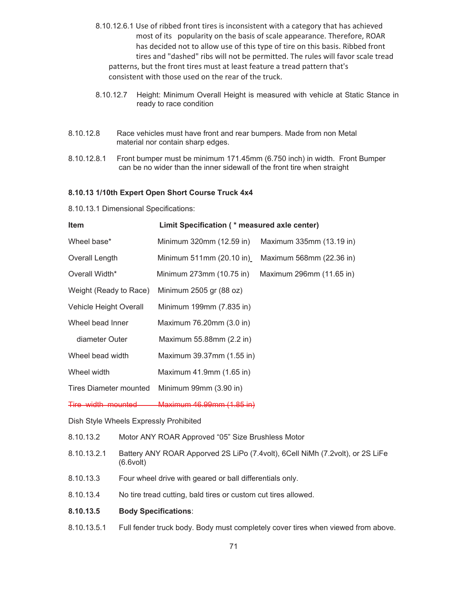- 8.10.12.6.1 Use of ribbed front tires is inconsistent with a category that has achieved most of its popularity on the basis of scale appearance. Therefore, ROAR has decided not to allow use of this type of tire on this basis. Ribbed front tires and "dashed" ribs will not be permitted. The rules will favor scale tread patterns, but the front tires must at least feature a tread pattern that's consistent with those used on the rear of the truck.
- 8.10.12.7 Height: Minimum Overall Height is measured with vehicle at Static Stance in ready to race condition
- 8.10.12.8 Race vehicles must have front and rear bumpers. Made from non Metal material nor contain sharp edges.
- 8.10.12.8.1 Front bumper must be minimum 171.45mm (6.750 inch) in width. Front Bumper can be no wider than the inner sidewall of the front tire when straight

## **8.10.13 1/10th Expert Open Short Course Truck 4x4**

8.10.13.1 Dimensional Specifications:

| Item                                                           | Limit Specification (* measured axle center) |                          |  |  |
|----------------------------------------------------------------|----------------------------------------------|--------------------------|--|--|
| Wheel base*                                                    | Minimum 320mm (12.59 in)                     | Maximum 335mm (13.19 in) |  |  |
| Overall Length                                                 | Minimum 511mm (20.10 in)                     | Maximum 568mm (22.36 in) |  |  |
| Overall Width*                                                 | Minimum 273mm (10.75 in)                     | Maximum 296mm (11.65 in) |  |  |
| Weight (Ready to Race)                                         | Minimum 2505 gr (88 oz)                      |                          |  |  |
| Vehicle Height Overall                                         | Minimum 199mm (7.835 in)                     |                          |  |  |
| Wheel bead Inner                                               | Maximum 76.20mm (3.0 in)                     |                          |  |  |
| diameter Outer                                                 | Maximum 55.88mm (2.2 in)                     |                          |  |  |
| Wheel bead width                                               | Maximum 39.37mm (1.55 in)                    |                          |  |  |
| Wheel width                                                    | Maximum 41.9mm (1.65 in)                     |                          |  |  |
| <b>Tires Diameter mounted</b>                                  | Minimum 99mm (3.90 in)                       |                          |  |  |
| Tire width mounted                                             | Maximum 46.99mm (1.85 in)                    |                          |  |  |
| Dish Style Wheels Expressly Prohibited                         |                                              |                          |  |  |
| Motor ANY ROAR Approved "05" Size Brushless Motor<br>8.10.13.2 |                                              |                          |  |  |

| 8.10.13.2.1 Battery ANY ROAR Apporved 2S LiPo (7.4volt), 6Cell NiMh (7.2volt), or 2S LiFe |
|-------------------------------------------------------------------------------------------|

- (6.6volt)
- 8.10.13.3 Four wheel drive with geared or ball differentials only.
- 8.10.13.4 No tire tread cutting, bald tires or custom cut tires allowed.
- **8.10.13.5 Body Specifications**:
- 8.10.13.5.1 Full fender truck body. Body must completely cover tires when viewed from above.